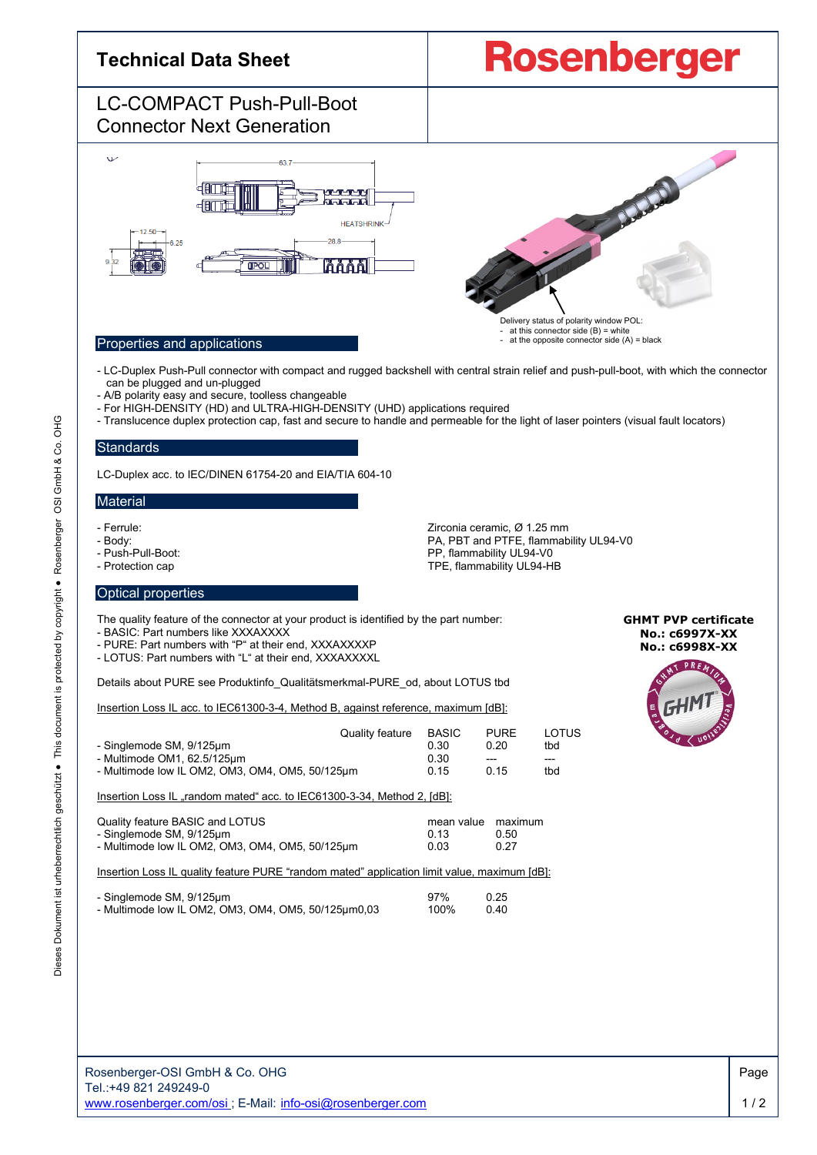